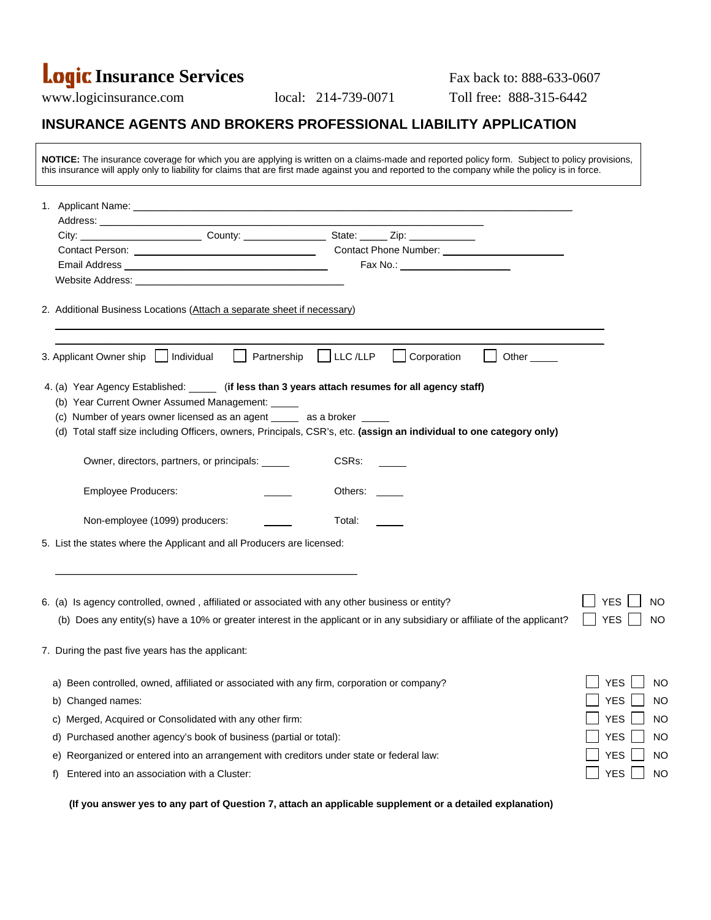# **Logic Insurance Services** Fax back to: 888-633-0607

www.logicinsurance.com local: 214-739-0071 Toll free: 888-315-6442

## **INSURANCE AGENTS AND BROKERS PROFESSIONAL LIABILITY APPLICATION**

| NOTICE: The insurance coverage for which you are applying is written on a claims-made and reported policy form. Subject to policy provisions,<br>this insurance will apply only to liability for claims that are first made against you and reported to the company while the policy is in force.                                                       |             |              |                                 |       |                         |
|---------------------------------------------------------------------------------------------------------------------------------------------------------------------------------------------------------------------------------------------------------------------------------------------------------------------------------------------------------|-------------|--------------|---------------------------------|-------|-------------------------|
|                                                                                                                                                                                                                                                                                                                                                         |             |              |                                 |       |                         |
|                                                                                                                                                                                                                                                                                                                                                         |             |              |                                 |       |                         |
|                                                                                                                                                                                                                                                                                                                                                         |             |              |                                 |       |                         |
|                                                                                                                                                                                                                                                                                                                                                         |             |              |                                 |       |                         |
| Email Address <b>Email Address Email Address</b>                                                                                                                                                                                                                                                                                                        |             |              | Fax No.: ______________________ |       |                         |
| 2. Additional Business Locations (Attach a separate sheet if necessary)                                                                                                                                                                                                                                                                                 |             |              |                                 |       |                         |
| Individual<br>3. Applicant Owner ship                                                                                                                                                                                                                                                                                                                   | Partnership | $ $ LLC /LLP | Corporation                     | Other |                         |
| 4. (a) Year Agency Established: ______ (if less than 3 years attach resumes for all agency staff)<br>(b) Year Current Owner Assumed Management: _____<br>(c) Number of years owner licensed as an agent _____ as a broker _____<br>(d) Total staff size including Officers, owners, Principals, CSR's, etc. (assign an individual to one category only) |             |              |                                 |       |                         |
| Owner, directors, partners, or principals: _____                                                                                                                                                                                                                                                                                                        |             | CSRs:        |                                 |       |                         |
| <b>Employee Producers:</b>                                                                                                                                                                                                                                                                                                                              |             | Others:      |                                 |       |                         |
| Non-employee (1099) producers:                                                                                                                                                                                                                                                                                                                          |             | Total: Total |                                 |       |                         |
| 5. List the states where the Applicant and all Producers are licensed:                                                                                                                                                                                                                                                                                  |             |              |                                 |       |                         |
| 6. (a) Is agency controlled, owned, affiliated or associated with any other business or entity?                                                                                                                                                                                                                                                         |             |              |                                 |       | <b>YES</b><br>NO        |
| (b) Does any entity(s) have a 10% or greater interest in the applicant or in any subsidiary or affiliate of the applicant?                                                                                                                                                                                                                              |             |              |                                 |       | <b>YES</b><br>NO        |
| 7. During the past five years has the applicant:                                                                                                                                                                                                                                                                                                        |             |              |                                 |       |                         |
| Been controlled, owned, affiliated or associated with any firm, corporation or company?<br>a)                                                                                                                                                                                                                                                           |             |              |                                 |       | <b>YES</b><br><b>NO</b> |
| b) Changed names:                                                                                                                                                                                                                                                                                                                                       |             |              |                                 |       | <b>YES</b><br><b>NO</b> |
| Merged, Acquired or Consolidated with any other firm:<br>C)                                                                                                                                                                                                                                                                                             |             |              |                                 |       | <b>YES</b><br><b>NO</b> |
| Purchased another agency's book of business (partial or total):<br>d)                                                                                                                                                                                                                                                                                   |             |              |                                 |       | <b>YES</b><br><b>NO</b> |
| Reorganized or entered into an arrangement with creditors under state or federal law:<br>e)                                                                                                                                                                                                                                                             |             |              |                                 |       | <b>YES</b><br><b>NO</b> |
| Entered into an association with a Cluster:<br>t)                                                                                                                                                                                                                                                                                                       |             |              |                                 |       | <b>YES</b><br><b>NO</b> |

 **(If you answer yes to any part of Question 7, attach an applicable supplement or a detailed explanation)**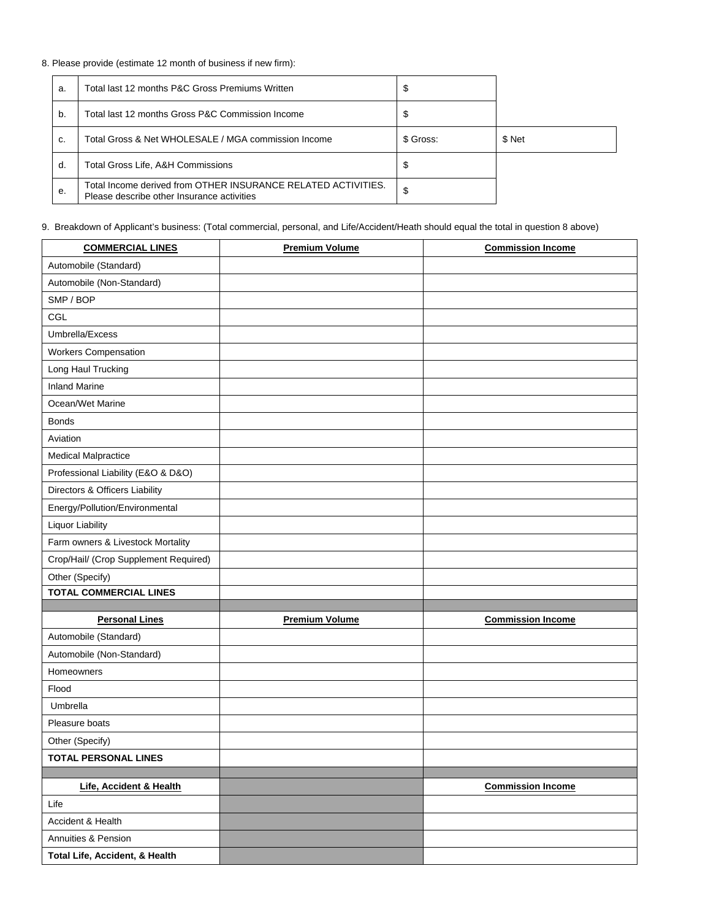### 8. Please provide (estimate 12 month of business if new firm):

| a. | Total last 12 months P&C Gross Premiums Written                                                             | จ         |        |
|----|-------------------------------------------------------------------------------------------------------------|-----------|--------|
| b. | Total last 12 months Gross P&C Commission Income                                                            | S         |        |
| C. | Total Gross & Net WHOLESALE / MGA commission Income                                                         | \$ Gross: | \$ Net |
| d. | Total Gross Life, A&H Commissions                                                                           | S         |        |
| е. | Total Income derived from OTHER INSURANCE RELATED ACTIVITIES.<br>Please describe other Insurance activities | \$        |        |

#### 9. Breakdown of Applicant's business: (Total commercial, personal, and Life/Accident/Heath should equal the total in question 8 above)

| <b>COMMERCIAL LINES</b>               | <b>Premium Volume</b> | <b>Commission Income</b> |
|---------------------------------------|-----------------------|--------------------------|
| Automobile (Standard)                 |                       |                          |
| Automobile (Non-Standard)             |                       |                          |
| SMP / BOP                             |                       |                          |
| CGL                                   |                       |                          |
| Umbrella/Excess                       |                       |                          |
| <b>Workers Compensation</b>           |                       |                          |
| Long Haul Trucking                    |                       |                          |
| <b>Inland Marine</b>                  |                       |                          |
| Ocean/Wet Marine                      |                       |                          |
| <b>Bonds</b>                          |                       |                          |
| Aviation                              |                       |                          |
| <b>Medical Malpractice</b>            |                       |                          |
| Professional Liability (E&O & D&O)    |                       |                          |
| Directors & Officers Liability        |                       |                          |
| Energy/Pollution/Environmental        |                       |                          |
| Liquor Liability                      |                       |                          |
| Farm owners & Livestock Mortality     |                       |                          |
| Crop/Hail/ (Crop Supplement Required) |                       |                          |
| Other (Specify)                       |                       |                          |
| <b>TOTAL COMMERCIAL LINES</b>         |                       |                          |
| <b>Personal Lines</b>                 |                       |                          |
| Automobile (Standard)                 | <b>Premium Volume</b> | <b>Commission Income</b> |
| Automobile (Non-Standard)             |                       |                          |
|                                       |                       |                          |
| Homeowners<br>Flood                   |                       |                          |
| Umbrella                              |                       |                          |
| Pleasure boats                        |                       |                          |
| Other (Specify)                       |                       |                          |
| <b>TOTAL PERSONAL LINES</b>           |                       |                          |
|                                       |                       |                          |
| Life, Accident & Health               |                       | <b>Commission Income</b> |
| Life                                  |                       |                          |
| Accident & Health                     |                       |                          |
| Annuities & Pension                   |                       |                          |
|                                       |                       |                          |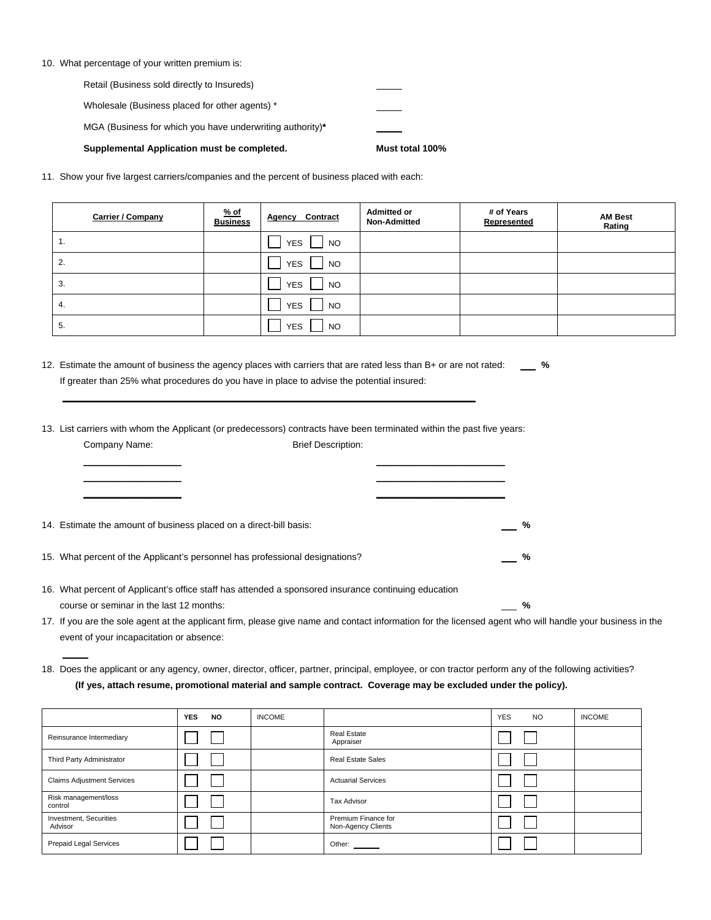|  |  | 10. What percentage of your written premium is: |  |  |  |  |  |
|--|--|-------------------------------------------------|--|--|--|--|--|
|--|--|-------------------------------------------------|--|--|--|--|--|

| Supplemental Application must be completed.               | Must total 100% |
|-----------------------------------------------------------|-----------------|
| MGA (Business for which you have underwriting authority)* |                 |
| Wholesale (Business placed for other agents) *            |                 |
| Retail (Business sold directly to Insureds)               |                 |

11. Show your five largest carriers/companies and the percent of business placed with each:

| <b>Carrier / Company</b> | $%$ of<br><b>Business</b> | Contract<br>Agency      | <b>Admitted or</b><br><b>Non-Admitted</b> | # of Years<br>Represented | <b>AM Best</b><br>Rating |
|--------------------------|---------------------------|-------------------------|-------------------------------------------|---------------------------|--------------------------|
| 1.                       |                           | <b>YES</b><br>NO.       |                                           |                           |                          |
| 2.                       |                           | <b>YES</b><br>NO        |                                           |                           |                          |
| 3.                       |                           | <b>YES</b><br><b>NO</b> |                                           |                           |                          |
| 4.                       |                           | <b>YES</b><br><b>NO</b> |                                           |                           |                          |
| 5.                       |                           | <b>YES</b><br><b>NO</b> |                                           |                           |                          |

12. Estimate the amount of business the agency places with carriers that are rated less than B+ or are not rated: **%** If greater than 25% what procedures do you have in place to advise the potential insured:

13. List carriers with whom the Applicant (or predecessors) contracts have been terminated within the past five years: Company Name: **Brief Description:** 

 **\_\_\_\_\_\_\_\_\_\_\_\_\_\_\_\_\_\_\_ \_\_\_\_\_\_\_\_\_\_\_\_\_\_\_\_\_\_\_\_\_\_\_\_\_ \_\_\_\_\_\_\_\_\_\_\_\_\_\_\_\_\_\_\_ \_\_\_\_\_\_\_\_\_\_\_\_\_\_\_\_\_\_\_\_\_\_\_\_\_**

**\_\_\_\_\_\_\_\_\_\_\_\_\_\_\_\_\_\_\_ \_\_\_\_\_\_\_\_\_\_\_\_\_\_\_\_\_\_\_\_\_\_\_\_\_**

**\_\_\_\_\_\_\_\_\_\_\_\_\_\_\_\_\_\_\_\_\_\_\_\_\_\_\_\_\_\_\_\_\_\_\_\_\_\_\_\_\_\_\_\_\_\_\_\_\_\_\_\_\_\_\_\_\_\_\_\_\_\_\_\_\_\_\_\_\_\_\_\_\_\_\_\_\_\_\_\_**

| 14. Estimate the amount of business placed on a direct-bill basis:           |  |
|------------------------------------------------------------------------------|--|
| 15. What percent of the Applicant's personnel has professional designations? |  |

| 16. What percent of Applicant's office staff has attended a sponsored insurance continuing education |  |
|------------------------------------------------------------------------------------------------------|--|
| course or seminar in the last 12 months:                                                             |  |

17. If you are the sole agent at the applicant firm, please give name and contact information for the licensed agent who will handle your business in the event of your incapacitation or absence:

18. Does the applicant or any agency, owner, director, officer, partner, principal, employee, or con tractor perform any of the following activities? **(If yes, attach resume, promotional material and sample contract. Coverage may be excluded under the policy).** 

|                                   | <b>YES</b> | <b>NO</b> | <b>INCOME</b> |                                           | <b>YES</b> | <b>NO</b> | <b>INCOME</b> |
|-----------------------------------|------------|-----------|---------------|-------------------------------------------|------------|-----------|---------------|
| Reinsurance Intermediary          |            |           |               | <b>Real Estate</b><br>Appraiser           |            |           |               |
| Third Party Administrator         |            |           |               | <b>Real Estate Sales</b>                  |            |           |               |
| <b>Claims Adjustment Services</b> |            |           |               | <b>Actuarial Services</b>                 |            |           |               |
| Risk management/loss<br>control   |            |           |               | Tax Advisor                               |            |           |               |
| Investment, Securities<br>Advisor |            |           |               | Premium Finance for<br>Non-Agency Clients |            |           |               |
| Prepaid Legal Services            |            |           |               | Other:                                    |            |           |               |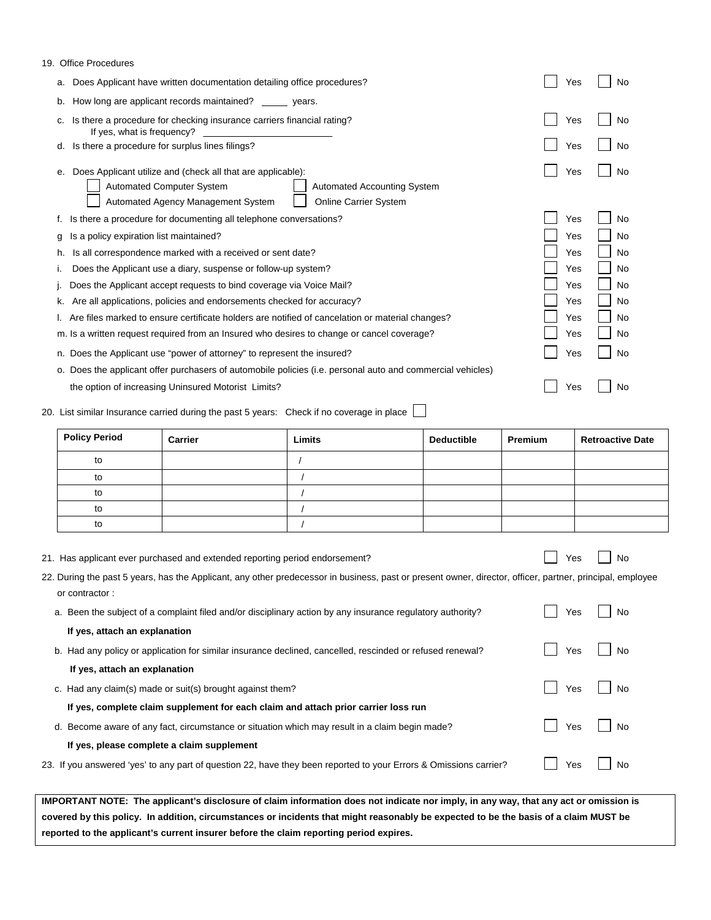| 19. Office Procedures |  |
|-----------------------|--|
|-----------------------|--|

| Does Applicant have written documentation detailing office procedures?<br>a.                                                                                                                                      | No<br>Yes        |
|-------------------------------------------------------------------------------------------------------------------------------------------------------------------------------------------------------------------|------------------|
| How long are applicant records maintained?<br>b.<br>years.                                                                                                                                                        |                  |
| Is there a procedure for checking insurance carriers financial rating?<br>If yes, what is frequency?                                                                                                              | Yes<br>No        |
| Is there a procedure for surplus lines filings?<br>d.                                                                                                                                                             | Yes<br>No        |
| Does Applicant utilize and (check all that are applicable):<br>е.<br><b>Automated Computer System</b><br><b>Automated Accounting System</b><br>Automated Agency Management System<br><b>Online Carrier System</b> | Yes<br>No        |
| Is there a procedure for documenting all telephone conversations?                                                                                                                                                 | Yes<br>No        |
| Is a policy expiration list maintained?<br>a                                                                                                                                                                      | Yes<br>No        |
| Is all correspondence marked with a received or sent date?<br>h.                                                                                                                                                  | Yes<br>No        |
| Does the Applicant use a diary, suspense or follow-up system?                                                                                                                                                     | No<br>Yes        |
| Does the Applicant accept requests to bind coverage via Voice Mail?                                                                                                                                               | No<br>Yes        |
| Are all applications, policies and endorsements checked for accuracy?                                                                                                                                             | Yes<br>No        |
| Are files marked to ensure certificate holders are notified of cancelation or material changes?                                                                                                                   | <b>No</b><br>Yes |
| m. Is a written request required from an Insured who desires to change or cancel coverage?                                                                                                                        | No<br>Yes        |
| n. Does the Applicant use "power of attorney" to represent the insured?                                                                                                                                           | Yes<br>No        |
| o. Does the applicant offer purchasers of automobile policies (i.e. personal auto and commercial vehicles)                                                                                                        |                  |
| the option of increasing Uninsured Motorist Limits?                                                                                                                                                               | Yes<br>No        |

20. List similar Insurance carried during the past 5 years: Check if no coverage in place

| <b>Policy Period</b> | Carrier | <b>Limits</b> | <b>Deductible</b> | Premium | <b>Retroactive Date</b> |
|----------------------|---------|---------------|-------------------|---------|-------------------------|
| to                   |         |               |                   |         |                         |
| to                   |         |               |                   |         |                         |
| to                   |         |               |                   |         |                         |
| to                   |         |               |                   |         |                         |
| to                   |         |               |                   |         |                         |

|  |  | 21. Has applicant ever purchased and extended reporting period endorsement? |  |
|--|--|-----------------------------------------------------------------------------|--|
|--|--|-----------------------------------------------------------------------------|--|

 $\Box$  Yes  $\Box$  No

| 22. During the past 5 years, has the Applicant, any other predecessor in business, past or present owner, director, officer, partner, principal, employee |  |  |  |  |
|-----------------------------------------------------------------------------------------------------------------------------------------------------------|--|--|--|--|
| or contractor:                                                                                                                                            |  |  |  |  |

| a. Been the subject of a complaint filed and/or disciplinary action by any insurance regulatory authority?        | <b>No</b><br>Yes |
|-------------------------------------------------------------------------------------------------------------------|------------------|
| If yes, attach an explanation                                                                                     |                  |
| b. Had any policy or application for similar insurance declined, cancelled, rescinded or refused renewal?         | No<br>Yes        |
| If yes, attach an explanation                                                                                     |                  |
| c. Had any claim(s) made or suit(s) brought against them?                                                         | No<br><b>Yes</b> |
| If yes, complete claim supplement for each claim and attach prior carrier loss run                                |                  |
| d. Become aware of any fact, circumstance or situation which may result in a claim begin made?                    | No<br>Yes        |
| If yes, please complete a claim supplement                                                                        |                  |
| 23. If you answered 'yes' to any part of question 22, have they been reported to your Errors & Omissions carrier? | Yes<br>No        |

**IMPORTANT NOTE: The applicant's disclosure of claim information does not indicate nor imply, in any way, that any act or omission is covered by this policy. In addition, circumstances or incidents that might reasonably be expected to be the basis of a claim MUST be reported to the applicant's current insurer before the claim reporting period expires.**